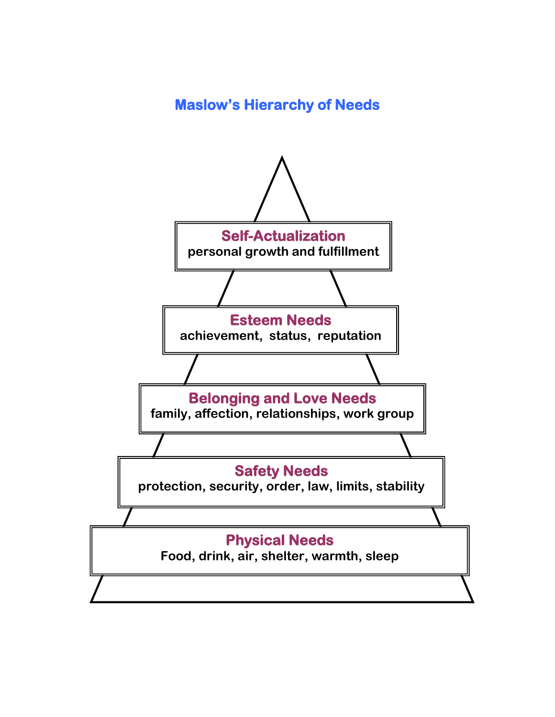# **Maslow's Hierarchy of Needs**